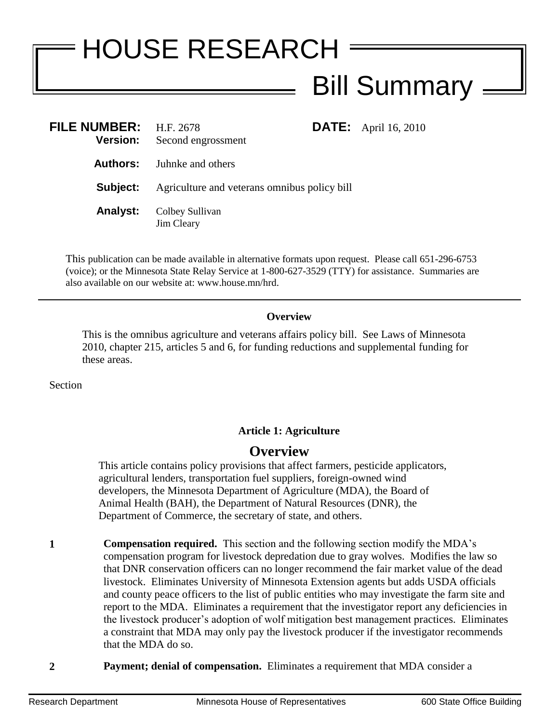# HOUSE RESEARCH Bill Summary

| FILE NUMBER: $H.F. 2678$<br><b>Version:</b> | Second engrossment                           | <b>DATE:</b> April 16, 2010 |
|---------------------------------------------|----------------------------------------------|-----------------------------|
| Authors:                                    | Juhnke and others                            |                             |
| Subject:                                    | Agriculture and veterans omnibus policy bill |                             |
| <b>Analyst:</b>                             | Colbey Sullivan<br>Jim Cleary                |                             |

This publication can be made available in alternative formats upon request. Please call 651-296-6753 (voice); or the Minnesota State Relay Service at 1-800-627-3529 (TTY) for assistance. Summaries are also available on our website at: www.house.mn/hrd.

### **Overview**

This is the omnibus agriculture and veterans affairs policy bill. See Laws of Minnesota 2010, chapter 215, articles 5 and 6, for funding reductions and supplemental funding for these areas.

Section

## **Article 1: Agriculture**

# **Overview**

This article contains policy provisions that affect farmers, pesticide applicators, agricultural lenders, transportation fuel suppliers, foreign-owned wind developers, the Minnesota Department of Agriculture (MDA), the Board of Animal Health (BAH), the Department of Natural Resources (DNR), the Department of Commerce, the secretary of state, and others.

**1 Compensation required.** This section and the following section modify the MDA's compensation program for livestock depredation due to gray wolves. Modifies the law so that DNR conservation officers can no longer recommend the fair market value of the dead livestock. Eliminates University of Minnesota Extension agents but adds USDA officials and county peace officers to the list of public entities who may investigate the farm site and report to the MDA. Eliminates a requirement that the investigator report any deficiencies in the livestock producer's adoption of wolf mitigation best management practices. Eliminates a constraint that MDA may only pay the livestock producer if the investigator recommends that the MDA do so.

**2 Payment; denial of compensation.** Eliminates a requirement that MDA consider a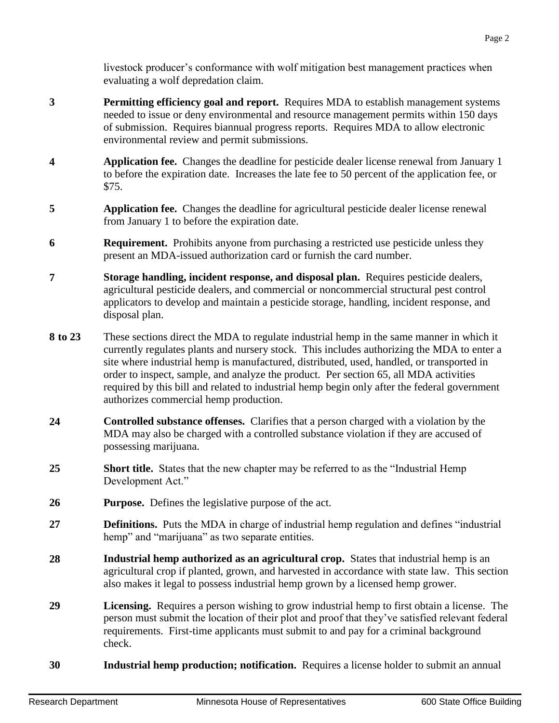livestock producer's conformance with wolf mitigation best management practices when evaluating a wolf depredation claim.

- **3 Permitting efficiency goal and report.** Requires MDA to establish management systems needed to issue or deny environmental and resource management permits within 150 days of submission. Requires biannual progress reports. Requires MDA to allow electronic environmental review and permit submissions.
- **4 Application fee.** Changes the deadline for pesticide dealer license renewal from January 1 to before the expiration date. Increases the late fee to 50 percent of the application fee, or \$75.
- **5 Application fee.** Changes the deadline for agricultural pesticide dealer license renewal from January 1 to before the expiration date.
- **6 Requirement.** Prohibits anyone from purchasing a restricted use pesticide unless they present an MDA-issued authorization card or furnish the card number.
- **7 Storage handling, incident response, and disposal plan.** Requires pesticide dealers, agricultural pesticide dealers, and commercial or noncommercial structural pest control applicators to develop and maintain a pesticide storage, handling, incident response, and disposal plan.
- **8 to 23** These sections direct the MDA to regulate industrial hemp in the same manner in which it currently regulates plants and nursery stock. This includes authorizing the MDA to enter a site where industrial hemp is manufactured, distributed, used, handled, or transported in order to inspect, sample, and analyze the product. Per section 65, all MDA activities required by this bill and related to industrial hemp begin only after the federal government authorizes commercial hemp production.
- **24 Controlled substance offenses.** Clarifies that a person charged with a violation by the MDA may also be charged with a controlled substance violation if they are accused of possessing marijuana.
- **25 Short title.** States that the new chapter may be referred to as the "Industrial Hemp Development Act."
- **26 Purpose.** Defines the legislative purpose of the act.
- **27 Definitions.** Puts the MDA in charge of industrial hemp regulation and defines "industrial hemp" and "marijuana" as two separate entities.
- **28 Industrial hemp authorized as an agricultural crop.** States that industrial hemp is an agricultural crop if planted, grown, and harvested in accordance with state law. This section also makes it legal to possess industrial hemp grown by a licensed hemp grower.
- **29 Licensing.** Requires a person wishing to grow industrial hemp to first obtain a license. The person must submit the location of their plot and proof that they've satisfied relevant federal requirements. First-time applicants must submit to and pay for a criminal background check.
- **30 Industrial hemp production; notification.** Requires a license holder to submit an annual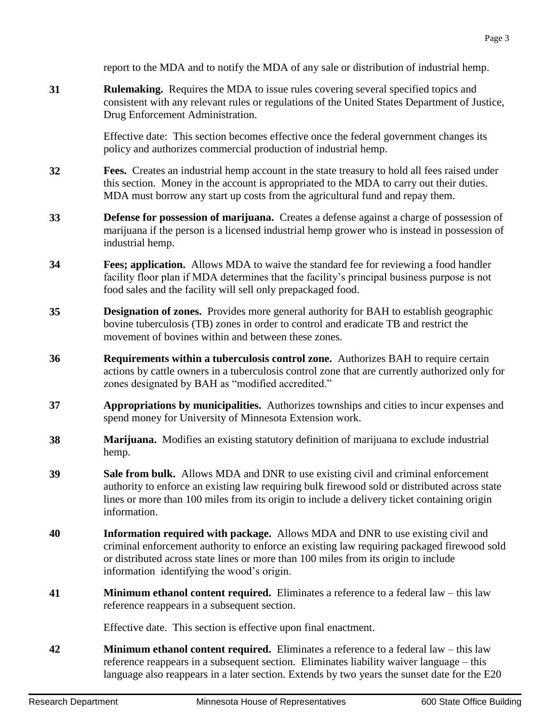report to the MDA and to notify the MDA of any sale or distribution of industrial hemp.

**31 Rulemaking.** Requires the MDA to issue rules covering several specified topics and consistent with any relevant rules or regulations of the United States Department of Justice, Drug Enforcement Administration.

> Effective date: This section becomes effective once the federal government changes its policy and authorizes commercial production of industrial hemp.

- **32 Fees.** Creates an industrial hemp account in the state treasury to hold all fees raised under this section. Money in the account is appropriated to the MDA to carry out their duties. MDA must borrow any start up costs from the agricultural fund and repay them.
- **33 Defense for possession of marijuana.** Creates a defense against a charge of possession of marijuana if the person is a licensed industrial hemp grower who is instead in possession of industrial hemp.
- **34 Fees; application.** Allows MDA to waive the standard fee for reviewing a food handler facility floor plan if MDA determines that the facility's principal business purpose is not food sales and the facility will sell only prepackaged food.
- **35 Designation of zones.** Provides more general authority for BAH to establish geographic bovine tuberculosis (TB) zones in order to control and eradicate TB and restrict the movement of bovines within and between these zones.
- **36 Requirements within a tuberculosis control zone.** Authorizes BAH to require certain actions by cattle owners in a tuberculosis control zone that are currently authorized only for zones designated by BAH as "modified accredited."
- **37 Appropriations by municipalities.** Authorizes townships and cities to incur expenses and spend money for University of Minnesota Extension work.
- **38 Marijuana.** Modifies an existing statutory definition of marijuana to exclude industrial hemp.
- **39 Sale from bulk.** Allows MDA and DNR to use existing civil and criminal enforcement authority to enforce an existing law requiring bulk firewood sold or distributed across state lines or more than 100 miles from its origin to include a delivery ticket containing origin information.
- **40 Information required with package.** Allows MDA and DNR to use existing civil and criminal enforcement authority to enforce an existing law requiring packaged firewood sold or distributed across state lines or more than 100 miles from its origin to include information identifying the wood's origin.
- **41 Minimum ethanol content required.** Eliminates a reference to a federal law this law reference reappears in a subsequent section.

Effective date. This section is effective upon final enactment.

**42 Minimum ethanol content required.** Eliminates a reference to a federal law – this law reference reappears in a subsequent section. Eliminates liability waiver language – this language also reappears in a later section. Extends by two years the sunset date for the E20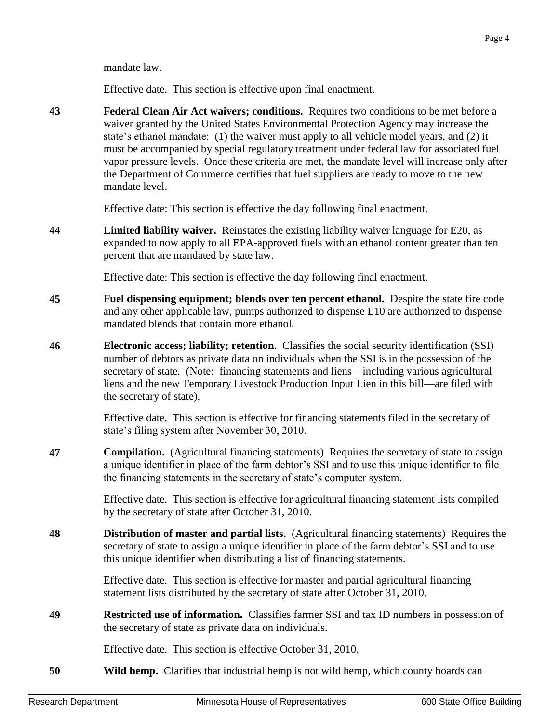mandate law.

Effective date. This section is effective upon final enactment.

**43 Federal Clean Air Act waivers; conditions.** Requires two conditions to be met before a waiver granted by the United States Environmental Protection Agency may increase the state's ethanol mandate: (1) the waiver must apply to all vehicle model years, and (2) it must be accompanied by special regulatory treatment under federal law for associated fuel vapor pressure levels. Once these criteria are met, the mandate level will increase only after the Department of Commerce certifies that fuel suppliers are ready to move to the new mandate level.

Effective date: This section is effective the day following final enactment.

**44 Limited liability waiver.** Reinstates the existing liability waiver language for E20, as expanded to now apply to all EPA-approved fuels with an ethanol content greater than ten percent that are mandated by state law.

Effective date: This section is effective the day following final enactment.

- **45 Fuel dispensing equipment; blends over ten percent ethanol.** Despite the state fire code and any other applicable law, pumps authorized to dispense E10 are authorized to dispense mandated blends that contain more ethanol.
- **46 Electronic access; liability; retention.** Classifies the social security identification (SSI) number of debtors as private data on individuals when the SSI is in the possession of the secretary of state. (Note: financing statements and liens—including various agricultural liens and the new Temporary Livestock Production Input Lien in this bill—are filed with the secretary of state).

Effective date. This section is effective for financing statements filed in the secretary of state's filing system after November 30, 2010.

**47 Compilation.** (Agricultural financing statements) Requires the secretary of state to assign a unique identifier in place of the farm debtor's SSI and to use this unique identifier to file the financing statements in the secretary of state's computer system.

> Effective date. This section is effective for agricultural financing statement lists compiled by the secretary of state after October 31, 2010.

**48 Distribution of master and partial lists.** (Agricultural financing statements) Requires the secretary of state to assign a unique identifier in place of the farm debtor's SSI and to use this unique identifier when distributing a list of financing statements.

> Effective date. This section is effective for master and partial agricultural financing statement lists distributed by the secretary of state after October 31, 2010.

**49 Restricted use of information.** Classifies farmer SSI and tax ID numbers in possession of the secretary of state as private data on individuals.

Effective date. This section is effective October 31, 2010.

**50 Wild hemp.** Clarifies that industrial hemp is not wild hemp, which county boards can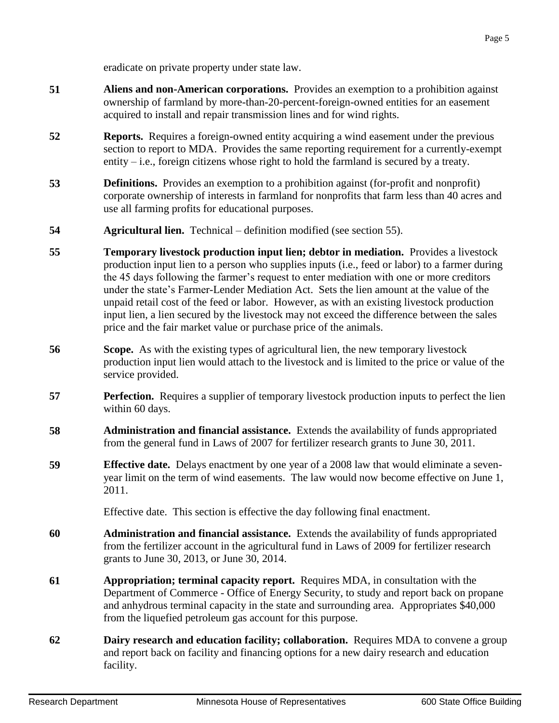eradicate on private property under state law.

- **51 Aliens and non-American corporations.** Provides an exemption to a prohibition against ownership of farmland by more-than-20-percent-foreign-owned entities for an easement acquired to install and repair transmission lines and for wind rights.
- **52 Reports.** Requires a foreign-owned entity acquiring a wind easement under the previous section to report to MDA. Provides the same reporting requirement for a currently-exempt entity  $-i.e.,$  foreign citizens whose right to hold the farmland is secured by a treaty.
- **53 Definitions.** Provides an exemption to a prohibition against (for-profit and nonprofit) corporate ownership of interests in farmland for nonprofits that farm less than 40 acres and use all farming profits for educational purposes.
- **54 Agricultural lien.** Technical definition modified (see section 55).
- **55 Temporary livestock production input lien; debtor in mediation.** Provides a livestock production input lien to a person who supplies inputs (i.e., feed or labor) to a farmer during the 45 days following the farmer's request to enter mediation with one or more creditors under the state's Farmer-Lender Mediation Act. Sets the lien amount at the value of the unpaid retail cost of the feed or labor. However, as with an existing livestock production input lien, a lien secured by the livestock may not exceed the difference between the sales price and the fair market value or purchase price of the animals.
- **56 Scope.** As with the existing types of agricultural lien, the new temporary livestock production input lien would attach to the livestock and is limited to the price or value of the service provided.
- **57 Perfection.** Requires a supplier of temporary livestock production inputs to perfect the lien within 60 days.
- **58 Administration and financial assistance.** Extends the availability of funds appropriated from the general fund in Laws of 2007 for fertilizer research grants to June 30, 2011.
- **59 Effective date.** Delays enactment by one year of a 2008 law that would eliminate a sevenyear limit on the term of wind easements. The law would now become effective on June 1, 2011.

Effective date. This section is effective the day following final enactment.

- **60 Administration and financial assistance.** Extends the availability of funds appropriated from the fertilizer account in the agricultural fund in Laws of 2009 for fertilizer research grants to June 30, 2013, or June 30, 2014.
- **61 Appropriation; terminal capacity report.** Requires MDA, in consultation with the Department of Commerce - Office of Energy Security, to study and report back on propane and anhydrous terminal capacity in the state and surrounding area. Appropriates \$40,000 from the liquefied petroleum gas account for this purpose.
- **62 Dairy research and education facility; collaboration.** Requires MDA to convene a group and report back on facility and financing options for a new dairy research and education facility.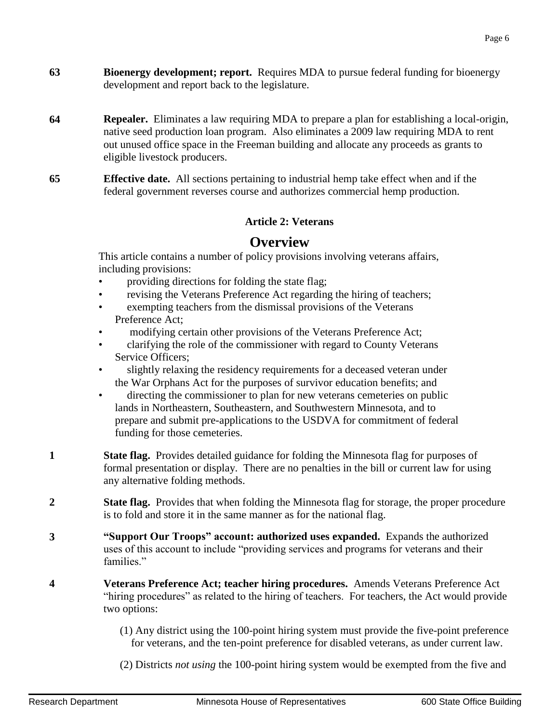- **63 Bioenergy development; report.** Requires MDA to pursue federal funding for bioenergy development and report back to the legislature.
- **64 Repealer.** Eliminates a law requiring MDA to prepare a plan for establishing a local-origin, native seed production loan program. Also eliminates a 2009 law requiring MDA to rent out unused office space in the Freeman building and allocate any proceeds as grants to eligible livestock producers.
- **65 Effective date.** All sections pertaining to industrial hemp take effect when and if the federal government reverses course and authorizes commercial hemp production.

## **Article 2: Veterans**

## **Overview**

This article contains a number of policy provisions involving veterans affairs, including provisions:

- providing directions for folding the state flag;
- revising the Veterans Preference Act regarding the hiring of teachers;
- exempting teachers from the dismissal provisions of the Veterans Preference Act;
- modifying certain other provisions of the Veterans Preference Act;
- clarifying the role of the commissioner with regard to County Veterans Service Officers;
- slightly relaxing the residency requirements for a deceased veteran under the War Orphans Act for the purposes of survivor education benefits; and
- directing the commissioner to plan for new veterans cemeteries on public lands in Northeastern, Southeastern, and Southwestern Minnesota, and to prepare and submit pre-applications to the USDVA for commitment of federal funding for those cemeteries.
- **1 State flag.** Provides detailed guidance for folding the Minnesota flag for purposes of formal presentation or display. There are no penalties in the bill or current law for using any alternative folding methods.
- **2 State flag.** Provides that when folding the Minnesota flag for storage, the proper procedure is to fold and store it in the same manner as for the national flag.
- **3 "Support Our Troops" account: authorized uses expanded.** Expands the authorized uses of this account to include "providing services and programs for veterans and their families."
- **4 Veterans Preference Act; teacher hiring procedures.** Amends Veterans Preference Act "hiring procedures" as related to the hiring of teachers. For teachers, the Act would provide two options:
	- (1) Any district using the 100-point hiring system must provide the five-point preference for veterans, and the ten-point preference for disabled veterans, as under current law.
	- (2) Districts *not using* the 100-point hiring system would be exempted from the five and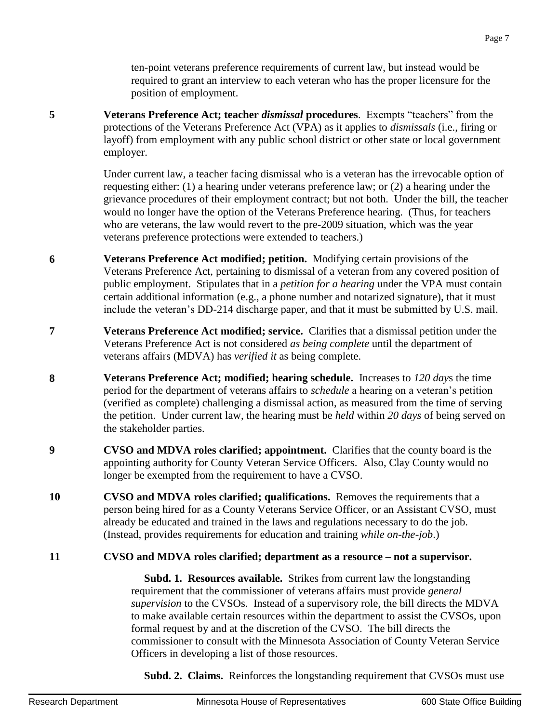ten-point veterans preference requirements of current law, but instead would be required to grant an interview to each veteran who has the proper licensure for the position of employment.

**5 Veterans Preference Act; teacher** *dismissal* **procedures**. Exempts "teachers" from the protections of the Veterans Preference Act (VPA) as it applies to *dismissals* (i.e., firing or layoff) from employment with any public school district or other state or local government employer.

> Under current law, a teacher facing dismissal who is a veteran has the irrevocable option of requesting either: (1) a hearing under veterans preference law; or (2) a hearing under the grievance procedures of their employment contract; but not both. Under the bill, the teacher would no longer have the option of the Veterans Preference hearing. (Thus, for teachers who are veterans, the law would revert to the pre-2009 situation, which was the year veterans preference protections were extended to teachers.)

- **6 Veterans Preference Act modified; petition.** Modifying certain provisions of the Veterans Preference Act, pertaining to dismissal of a veteran from any covered position of public employment. Stipulates that in a *petition for a hearing* under the VPA must contain certain additional information (e.g., a phone number and notarized signature), that it must include the veteran's DD-214 discharge paper, and that it must be submitted by U.S. mail.
- **7 Veterans Preference Act modified; service.** Clarifies that a dismissal petition under the Veterans Preference Act is not considered *as being complete* until the department of veterans affairs (MDVA) has *verified it* as being complete.
- **8 Veterans Preference Act; modified; hearing schedule.** Increases to *120 day*s the time period for the department of veterans affairs to *schedule* a hearing on a veteran's petition (verified as complete) challenging a dismissal action, as measured from the time of serving the petition. Under current law, the hearing must be *held* within *20 days* of being served on the stakeholder parties.
- **9 CVSO and MDVA roles clarified; appointment.** Clarifies that the county board is the appointing authority for County Veteran Service Officers. Also, Clay County would no longer be exempted from the requirement to have a CVSO.
- **10 CVSO and MDVA roles clarified; qualifications.** Removes the requirements that a person being hired for as a County Veterans Service Officer, or an Assistant CVSO, must already be educated and trained in the laws and regulations necessary to do the job. (Instead, provides requirements for education and training *while on-the-job*.)

#### **11 CVSO and MDVA roles clarified; department as a resource – not a supervisor.**

 **Subd. 1. Resources available.** Strikes from current law the longstanding requirement that the commissioner of veterans affairs must provide *general supervision* to the CVSOs. Instead of a supervisory role, the bill directs the MDVA to make available certain resources within the department to assist the CVSOs, upon formal request by and at the discretion of the CVSO. The bill directs the commissioner to consult with the Minnesota Association of County Veteran Service Officers in developing a list of those resources.

**Subd. 2. Claims.** Reinforces the longstanding requirement that CVSOs must use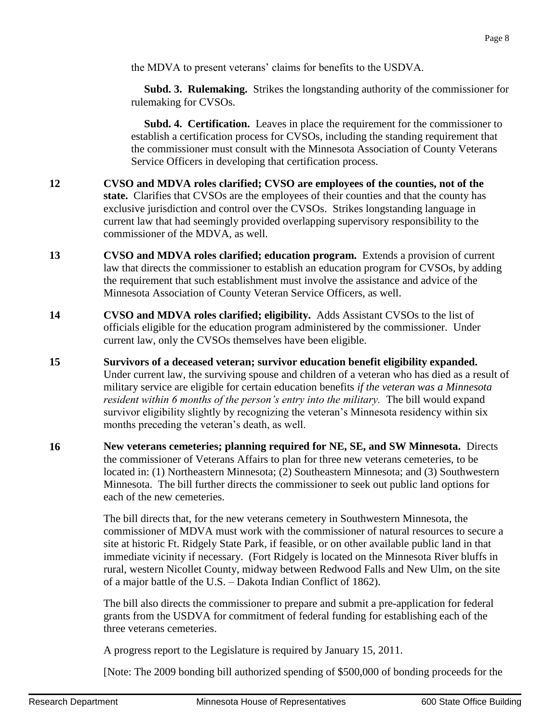the MDVA to present veterans' claims for benefits to the USDVA.

 **Subd. 3. Rulemaking.** Strikes the longstanding authority of the commissioner for rulemaking for CVSOs.

 **Subd. 4. Certification.** Leaves in place the requirement for the commissioner to establish a certification process for CVSOs, including the standing requirement that the commissioner must consult with the Minnesota Association of County Veterans Service Officers in developing that certification process.

- **12 CVSO and MDVA roles clarified; CVSO are employees of the counties, not of the state.** Clarifies that CVSOs are the employees of their counties and that the county has exclusive jurisdiction and control over the CVSOs. Strikes longstanding language in current law that had seemingly provided overlapping supervisory responsibility to the commissioner of the MDVA, as well.
- **13 CVSO and MDVA roles clarified; education program.** Extends a provision of current law that directs the commissioner to establish an education program for CVSOs, by adding the requirement that such establishment must involve the assistance and advice of the Minnesota Association of County Veteran Service Officers, as well.
- **14 CVSO and MDVA roles clarified; eligibility.** Adds Assistant CVSOs to the list of officials eligible for the education program administered by the commissioner. Under current law, only the CVSOs themselves have been eligible.
- **15 Survivors of a deceased veteran; survivor education benefit eligibility expanded.** Under current law, the surviving spouse and children of a veteran who has died as a result of military service are eligible for certain education benefits *if the veteran was a Minnesota resident within 6 months of the person's entry into the military.* The bill would expand survivor eligibility slightly by recognizing the veteran's Minnesota residency within six months preceding the veteran's death, as well.
- **16 New veterans cemeteries; planning required for NE, SE, and SW Minnesota.** Directs the commissioner of Veterans Affairs to plan for three new veterans cemeteries, to be located in: (1) Northeastern Minnesota; (2) Southeastern Minnesota; and (3) Southwestern Minnesota. The bill further directs the commissioner to seek out public land options for each of the new cemeteries.

The bill directs that, for the new veterans cemetery in Southwestern Minnesota, the commissioner of MDVA must work with the commissioner of natural resources to secure a site at historic Ft. Ridgely State Park, if feasible, or on other available public land in that immediate vicinity if necessary. (Fort Ridgely is located on the Minnesota River bluffs in rural, western Nicollet County, midway between Redwood Falls and New Ulm, on the site of a major battle of the U.S. – Dakota Indian Conflict of 1862).

The bill also directs the commissioner to prepare and submit a pre-application for federal grants from the USDVA for commitment of federal funding for establishing each of the three veterans cemeteries.

A progress report to the Legislature is required by January 15, 2011.

[Note: The 2009 bonding bill authorized spending of \$500,000 of bonding proceeds for the